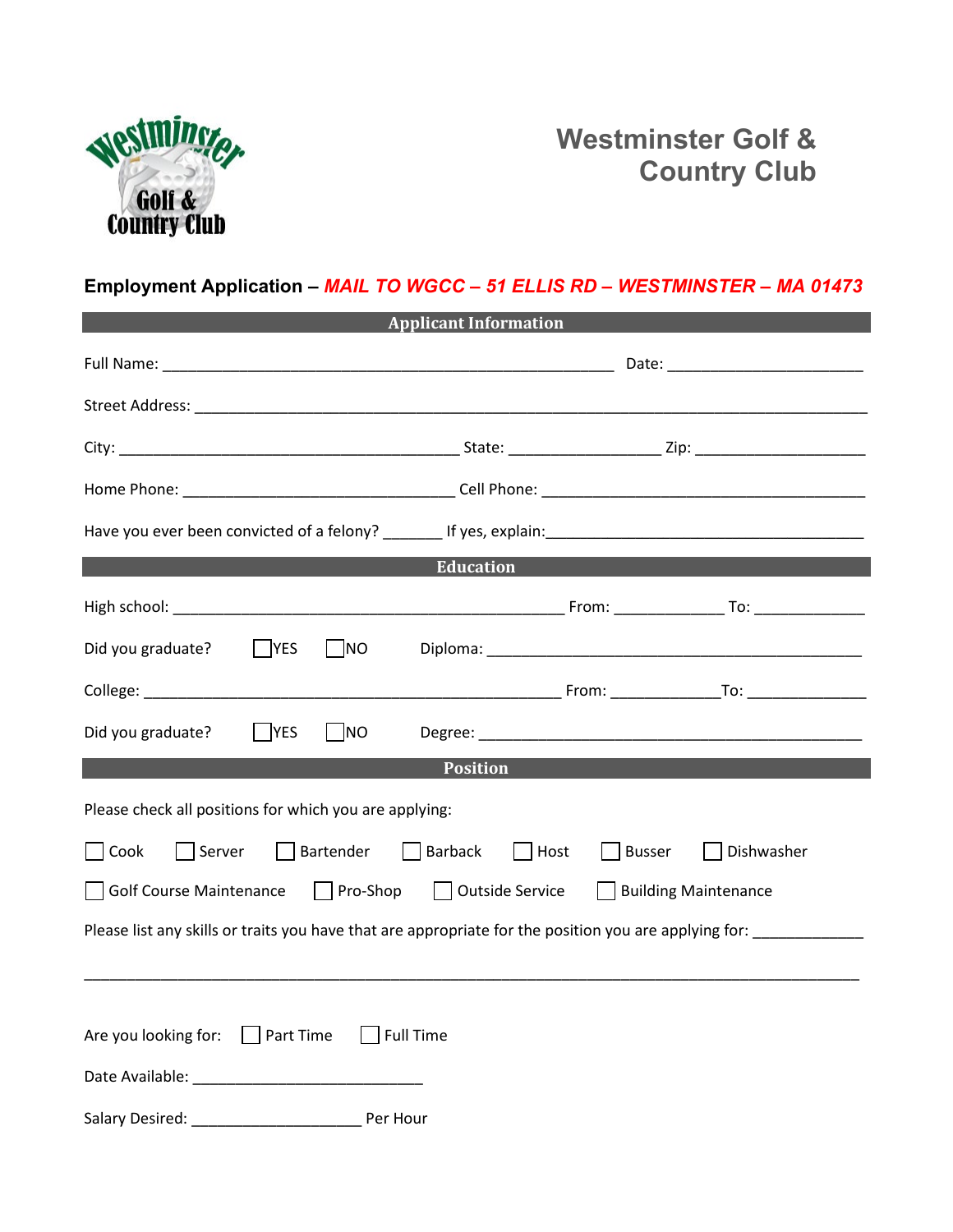

## **Westminster Golf & Country Club**

## **Employment Application –** *MAIL TO WGCC – 51 ELLIS RD – WESTMINSTER – MA 01473*

| <b>Applicant Information</b>                                                                          |  |  |  |  |
|-------------------------------------------------------------------------------------------------------|--|--|--|--|
|                                                                                                       |  |  |  |  |
|                                                                                                       |  |  |  |  |
|                                                                                                       |  |  |  |  |
|                                                                                                       |  |  |  |  |
|                                                                                                       |  |  |  |  |
| <b>Education</b>                                                                                      |  |  |  |  |
|                                                                                                       |  |  |  |  |
| Did you graduate?<br>$ $  YES<br><b>NO</b>                                                            |  |  |  |  |
|                                                                                                       |  |  |  |  |
| <b>NO</b><br>Did you graduate?<br> YES                                                                |  |  |  |  |
| <b>Position</b>                                                                                       |  |  |  |  |
| Please check all positions for which you are applying:                                                |  |  |  |  |
| Bartender<br>Barback<br>Server<br>Host<br><b>Busser</b><br>Dishwasher<br>Cook                         |  |  |  |  |
| $\Box$ Pro-Shop<br>Outside Service<br><b>Building Maintenance</b><br><b>Golf Course Maintenance</b>   |  |  |  |  |
| Please list any skills or traits you have that are appropriate for the position you are applying for: |  |  |  |  |
|                                                                                                       |  |  |  |  |
| Are you looking for:<br>  Part Time<br><b>Full Time</b>                                               |  |  |  |  |
|                                                                                                       |  |  |  |  |
| Salary Desired:<br>Per Hour                                                                           |  |  |  |  |